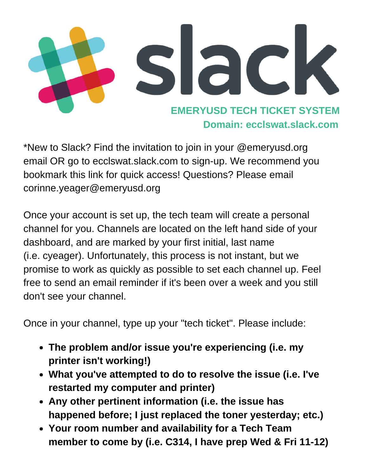

\*New to Slack? Find the invitation to join in your @emeryusd.org email OR go to ecclswat.slack.com to sign-up. We recommend you bookmark this link for quick access! Questions? Please email corinne.yeager@emeryusd.org

Once your account is set up, the tech team will create a personal channel for you. Channels are located on the left hand side of your dashboard, and are marked by your first initial, last name (i.e. cyeager). Unfortunately, this process is not instant, but we promise to work as quickly as possible to set each channel up. Feel free to send an email reminder if it's been over a week and you still don't see your channel.

Once in your channel, type up your "tech ticket". Please include:

- **The problem and/or issue you're [experiencing](https://get.slack.help/hc/en-us/articles/212675257-Join-a-Slack-team) (i.e. my printer isn't working!)**
- **What you've attempted to do to resolve the issue (i.e. I've restarted my computer and printer)**
- **Any other pertinent information (i.e. the issue has happened before; I just replaced the toner yesterday; etc.)**
- **Your room number and availability for a Tech Team member to come by (i.e. C314, I have prep Wed & Fri 11-12)**